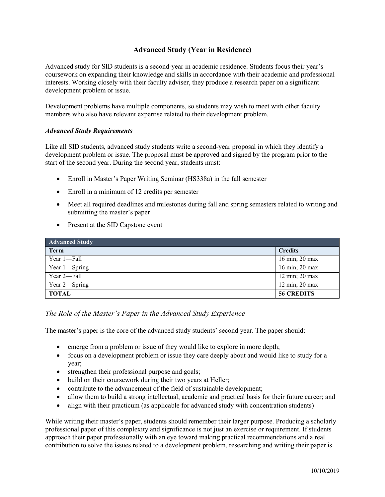## **Advanced Study (Year in Residence)**

Advanced study for SID students is a second-year in academic residence. Students focus their year's coursework on expanding their knowledge and skills in accordance with their academic and professional interests. Working closely with their faculty adviser, they produce a research paper on a significant development problem or issue.

Development problems have multiple components, so students may wish to meet with other faculty members who also have relevant expertise related to their development problem.

## *Advanced Study Requirements*

Like all SID students, advanced study students write a second-year proposal in which they identify a development problem or issue. The proposal must be approved and signed by the program prior to the start of the second year. During the second year, students must:

- Enroll in Master's Paper Writing Seminar (HS338a) in the fall semester
- Enroll in a minimum of 12 credits per semester
- Meet all required deadlines and milestones during fall and spring semesters related to writing and submitting the master's paper
- Present at the SID Capstone event

| <b>Advanced Study</b> |                   |
|-----------------------|-------------------|
| <b>Term</b>           | <b>Credits</b>    |
| Year 1-Fall           | 16 min; 20 max    |
| Year 1-Spring         | 16 min; 20 max    |
| Year 2—Fall           | 12 min; 20 max    |
| Year 2—Spring         | 12 min; 20 max    |
| <b>TOTAL</b>          | <b>56 CREDITS</b> |

## *The Role of the Master's Paper in the Advanced Study Experience*

The master's paper is the core of the advanced study students' second year. The paper should:

- emerge from a problem or issue of they would like to explore in more depth;
- focus on a development problem or issue they care deeply about and would like to study for a year;
- strengthen their professional purpose and goals;
- build on their coursework during their two years at Heller;
- contribute to the advancement of the field of sustainable development;
- allow them to build a strong intellectual, academic and practical basis for their future career; and
- align with their practicum (as applicable for advanced study with concentration students)

While writing their master's paper, students should remember their larger purpose. Producing a scholarly professional paper of this complexity and significance is not just an exercise or requirement. If students approach their paper professionally with an eye toward making practical recommendations and a real contribution to solve the issues related to a development problem, researching and writing their paper is